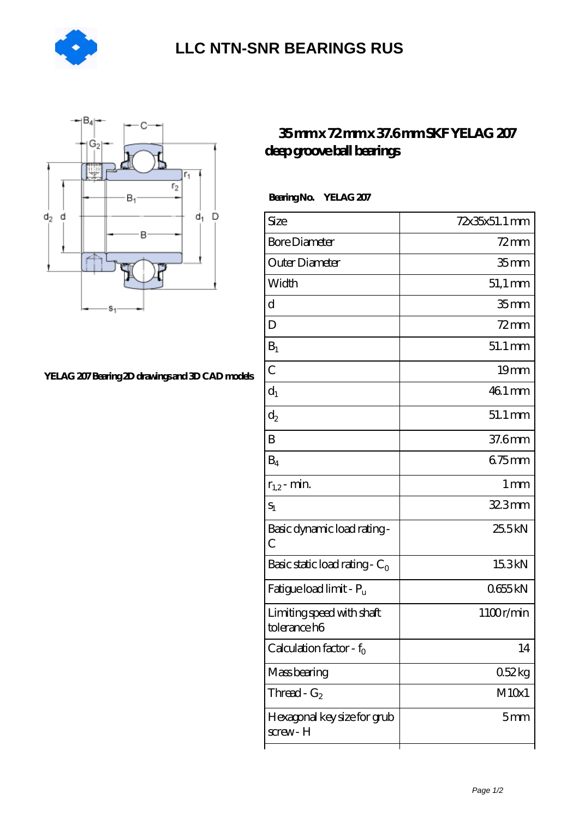



## **[YELAG 207 Bearing 2D drawings and 3D CAD models](https://agencel2om.com/pic-566791.html)**

## **[35 mm x 72 mm x 37.6 mm SKF YELAG 207](https://agencel2om.com/skf-yelag-207-bearing/) [deep groove ball bearings](https://agencel2om.com/skf-yelag-207-bearing/)**

 **Bearing No. YELAG 207**

| $72$ mm              |
|----------------------|
| 35 <sub>mm</sub>     |
| $51,1 \text{ mm}$    |
| 35 <sub>mm</sub>     |
| $72$ mm              |
| $51.1 \,\mathrm{mm}$ |
| 19 <sub>mm</sub>     |
| 46.1 mm              |
| $51.1 \,\mathrm{mm}$ |
| 37.6mm               |
| 675mm                |
| $1 \,\mathrm{mm}$    |
| 32.3mm               |
| 25.5kN               |
| 15.3kN               |
| 0655kN               |
| 1100r/min            |
| 14                   |
| 052kg                |
| M10x1                |
| 5 <sub>mm</sub>      |
|                      |